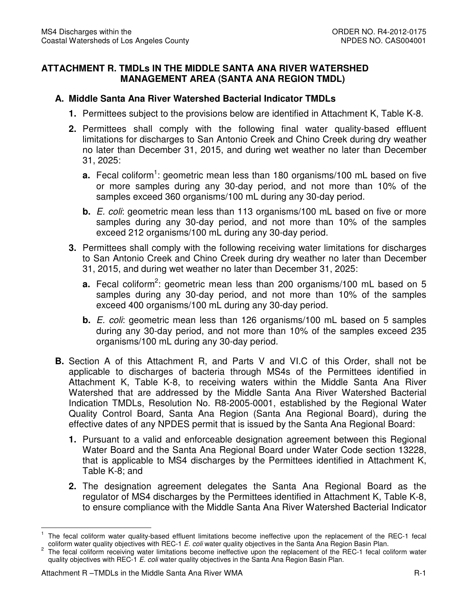## **ATTACHMENT R. TMDLs IN THE MIDDLE SANTA ANA RIVER WATERSHED MANAGEMENT AREA (SANTA ANA REGION TMDL)**

## **A. Middle Santa Ana River Watershed Bacterial Indicator TMDLs**

- **1.** Permittees subject to the provisions below are identified in Attachment K, Table K-8.
- **2.** Permittees shall comply with the following final water quality-based effluent limitations for discharges to San Antonio Creek and Chino Creek during dry weather no later than December 31, 2015, and during wet weather no later than December 31, 2025:
	- **a.** Fecal coliform<sup>1</sup>: geometric mean less than 180 organisms/100 mL based on five or more samples during any 30-day period, and not more than 10% of the samples exceed 360 organisms/100 mL during any 30-day period.
	- **b.** E. coli: geometric mean less than 113 organisms/100 mL based on five or more samples during any 30-day period, and not more than 10% of the samples exceed 212 organisms/100 mL during any 30-day period.
- **3.** Permittees shall comply with the following receiving water limitations for discharges to San Antonio Creek and Chino Creek during dry weather no later than December 31, 2015, and during wet weather no later than December 31, 2025:
	- **a.** Fecal coliform<sup>2</sup>: geometric mean less than 200 organisms/100 mL based on 5 samples during any 30-day period, and not more than 10% of the samples exceed 400 organisms/100 mL during any 30-day period.
	- **b.** E. coli: geometric mean less than 126 organisms/100 mL based on 5 samples during any 30-day period, and not more than 10% of the samples exceed 235 organisms/100 mL during any 30-day period.
- **B.** Section A of this Attachment R, and Parts V and VI.C of this Order, shall not be applicable to discharges of bacteria through MS4s of the Permittees identified in Attachment K, Table K-8, to receiving waters within the Middle Santa Ana River Watershed that are addressed by the Middle Santa Ana River Watershed Bacterial Indication TMDLs, Resolution No. R8-2005-0001, established by the Regional Water Quality Control Board, Santa Ana Region (Santa Ana Regional Board), during the effective dates of any NPDES permit that is issued by the Santa Ana Regional Board:
	- **1.** Pursuant to a valid and enforceable designation agreement between this Regional Water Board and the Santa Ana Regional Board under Water Code section 13228, that is applicable to MS4 discharges by the Permittees identified in Attachment K, Table K-8; and
	- **2.** The designation agreement delegates the Santa Ana Regional Board as the regulator of MS4 discharges by the Permittees identified in Attachment K, Table K-8, to ensure compliance with the Middle Santa Ana River Watershed Bacterial Indicator

 $\overline{1}$ coliform water quality objectives with REC-1 E. coli water quality objectives in the Santa Ana Region Basin Plan. 1 The fecal coliform water quality-based effluent limitations become ineffective upon the replacement of the REC-1 fecal

 $\overline{\mathbf{c}}$ quality objectives with REC-1 E. coli water quality objectives in the Santa Ana Region Basin Plan. 2 The fecal coliform receiving water limitations become ineffective upon the replacement of the REC-1 fecal coliform water